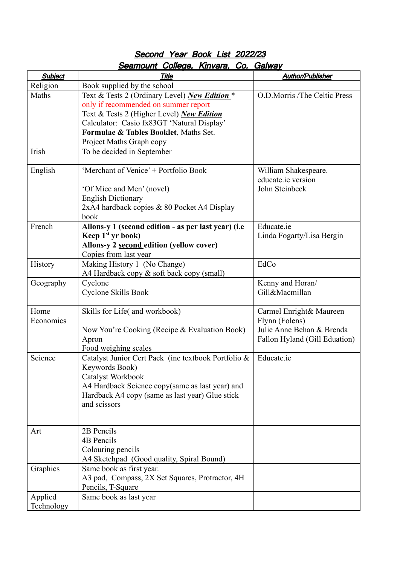| <b>Subject</b> | <u>yumvum ovnogo, nimaruj</u><br><b>Title</b>       | <b>Author/Publisher</b>       |
|----------------|-----------------------------------------------------|-------------------------------|
|                |                                                     |                               |
| Religion       | Book supplied by the school                         |                               |
| Maths          | Text & Tests 2 (Ordinary Level) New Edition *       | O.D.Morris /The Celtic Press  |
|                | only if recommended on summer report                |                               |
|                | Text & Tests 2 (Higher Level) New Edition           |                               |
|                | Calculator: Casio fx83GT 'Natural Display'          |                               |
|                | Formulae & Tables Booklet, Maths Set.               |                               |
|                | Project Maths Graph copy                            |                               |
| Irish          | To be decided in September                          |                               |
|                |                                                     |                               |
| English        | 'Merchant of Venice' + Portfolio Book               | William Shakespeare.          |
|                |                                                     | educate.ie version            |
|                | 'Of Mice and Men' (novel)                           | John Steinbeck                |
|                | <b>English Dictionary</b>                           |                               |
|                | 2xA4 hardback copies & 80 Pocket A4 Display         |                               |
|                | book                                                |                               |
| French         |                                                     | Educate.ie                    |
|                | Allons-y 1 (second edition - as per last year) (i.e |                               |
|                | Keep 1 <sup>st</sup> yr book)                       | Linda Fogarty/Lisa Bergin     |
|                | Allons-y 2 second edition (yellow cover)            |                               |
|                | Copies from last year                               |                               |
| History        | Making History 1 (No Change)                        | EdCo                          |
|                | A4 Hardback copy & soft back copy (small)           |                               |
| Geography      | Cyclone                                             | Kenny and Horan/              |
|                | Cyclone Skills Book                                 | Gill&Macmillan                |
|                |                                                     |                               |
| Home           | Skills for Life( and workbook)                      | Carmel Enright& Maureen       |
| Economics      |                                                     | Flynn (Folens)                |
|                | Now You're Cooking (Recipe & Evaluation Book)       | Julie Anne Behan & Brenda     |
|                | Apron                                               | Fallon Hyland (Gill Eduation) |
|                | Food weighing scales                                |                               |
| Science        | Catalyst Junior Cert Pack (inc textbook Portfolio & | Educate.ie                    |
|                | Keywords Book)                                      |                               |
|                | Catalyst Workbook                                   |                               |
|                | A4 Hardback Science copy(same as last year) and     |                               |
|                | Hardback A4 copy (same as last year) Glue stick     |                               |
|                | and scissors                                        |                               |
|                |                                                     |                               |
|                |                                                     |                               |
| Art            | 2B Pencils                                          |                               |
|                | 4B Pencils                                          |                               |
|                |                                                     |                               |
|                | Colouring pencils                                   |                               |
|                | A4 Sketchpad (Good quality, Spiral Bound)           |                               |
| Graphics       | Same book as first year.                            |                               |
|                | A3 pad, Compass, 2X Set Squares, Protractor, 4H     |                               |
|                | Pencils, T-Square                                   |                               |
| Applied        | Same book as last year                              |                               |
| Technology     |                                                     |                               |

## Second Year Book List 2022/23 Seamount College, Kinvara, Co. Galway